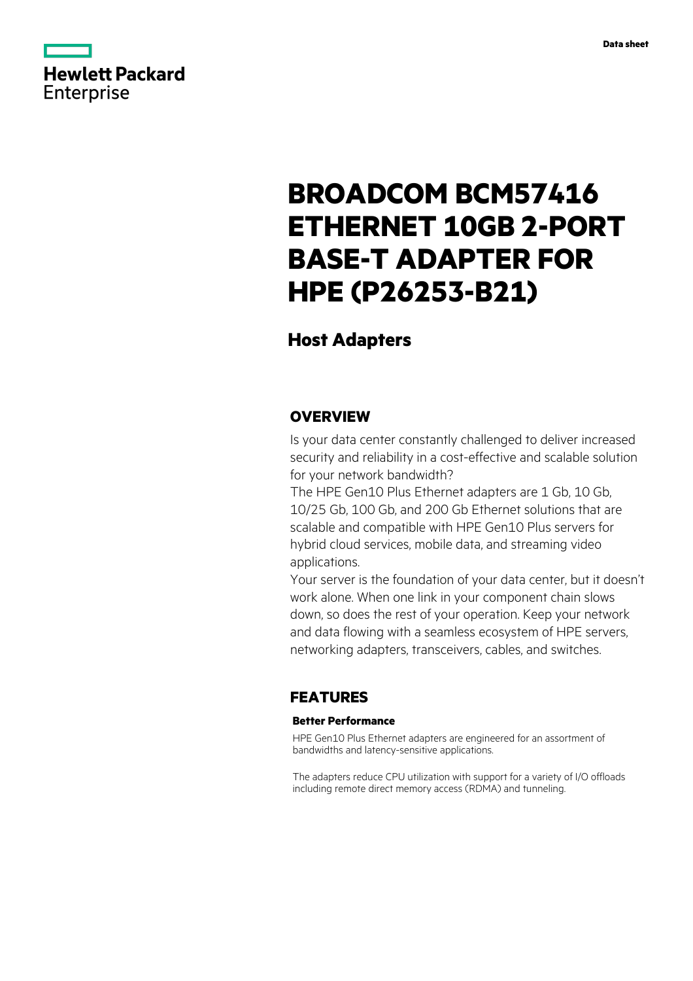

# **BROADCOM BCM57416 ETHERNET 10GB 2-PORT BASE-T ADAPTER FOR HPE (P26253-B21)**

# **Host Adapters**

### **OVERVIEW**

Is your data center constantly challenged to deliver increased security and reliability in a cost-effective and scalable solution for your network bandwidth?

The HPE Gen10 Plus Ethernet adapters are 1 Gb, 10 Gb, 10/25 Gb, 100 Gb, and 200 Gb Ethernet solutions that are scalable and compatible with HPE Gen10 Plus servers for hybrid cloud services, mobile data, and streaming video applications.

Your server is the foundation of your data center, but it doesn't work alone. When one link in your component chain slows down, so does the rest of your operation. Keep your network and data flowing with a seamless ecosystem of HPE servers, networking adapters, transceivers, cables, and switches.

## **FEATURES**

### **Better Performance**

HPE Gen10 Plus Ethernet adapters are engineered for an assortment of bandwidths and latency-sensitive applications.

The adapters reduce CPU utilization with support for a variety of I/O offloads including remote direct memory access (RDMA) and tunneling.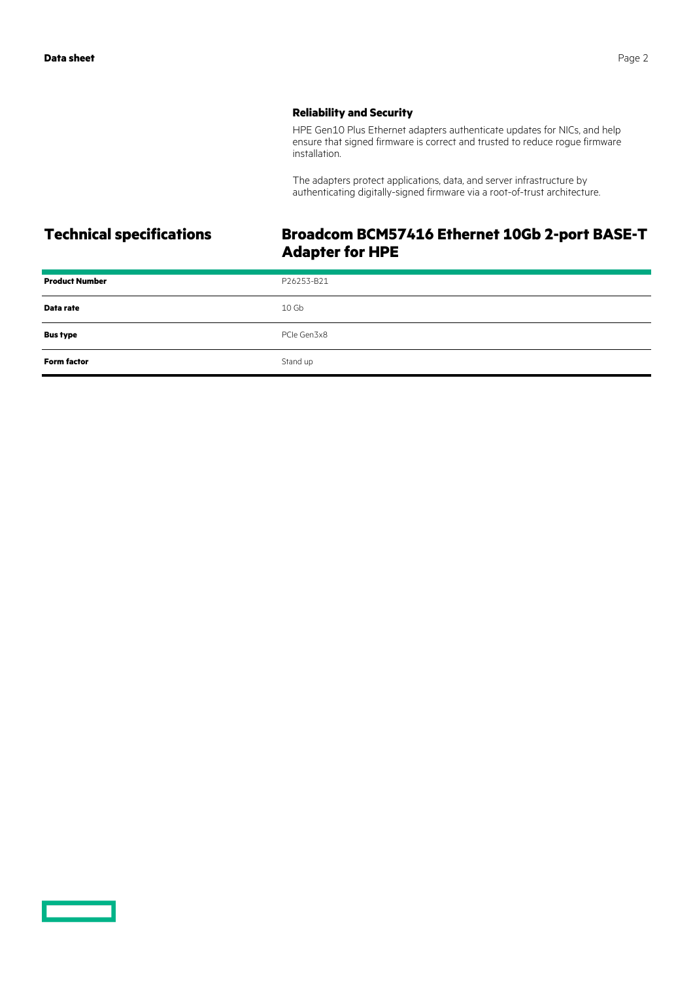### **Reliability and Security**

HPE Gen10 Plus Ethernet adapters authenticate updates for NICs, and help ensure that signed firmware is correct and trusted to reduce rogue firmware installation.

The adapters protect applications, data, and server infrastructure by authenticating digitally-signed firmware via a root-of-trust architecture.

# **Technical specifications Broadcom BCM57416 Ethernet 10Gb 2-port BASE-T Adapter for HPE**

| <b>Product Number</b> | P26253-B21       |
|-----------------------|------------------|
| Data rate             | 10 <sub>6b</sub> |
| <b>Bus type</b>       | PCIe Gen3x8      |
| <b>Form factor</b>    | Stand up         |